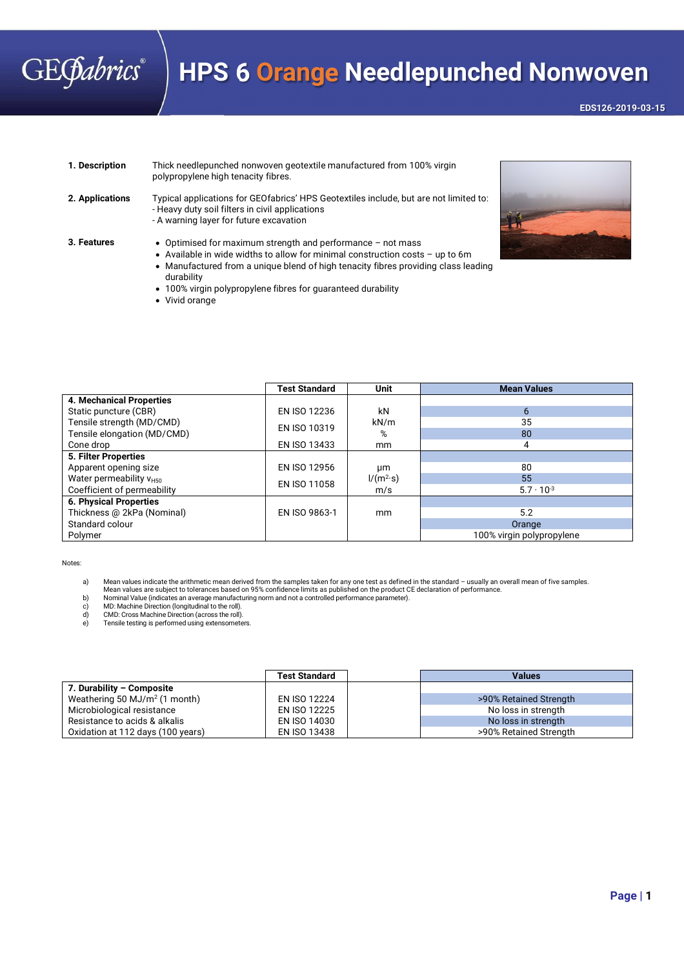## **GEGabrics**®

## **HPS 6 Orange Needlepunched Nonwoven**

**EDS126-2019-03-15** 

**1. Description** Thick needlepunched nonwoven geotextile manufactured from 100% virgin polypropylene high tenacity fibres.

**2. Applications** Typical applications for GEOfabrics' HPS Geotextiles include, but are not limited to: - Heavy duty soil filters in civil applications - A warning layer for future excavation

- **3. Features** Optimised for maximum strength and performance not mass
	- Available in wide widths to allow for minimal construction costs up to 6m Manufactured from a unique blend of high tenacity fibres providing class leading durability
	- 100% virgin polypropylene fibres for guaranteed durability
	- Vivid orange



|                                     | <b>Test Standard</b> | Unit              | <b>Mean Values</b>        |
|-------------------------------------|----------------------|-------------------|---------------------------|
| <b>4. Mechanical Properties</b>     |                      |                   |                           |
| Static puncture (CBR)               | <b>EN ISO 12236</b>  | kN                | 6                         |
| Tensile strength (MD/CMD)           | EN ISO 10319         | kN/m              | 35                        |
| Tensile elongation (MD/CMD)         |                      | %                 | 80                        |
| Cone drop                           | EN ISO 13433         | mm                | 4                         |
| 5. Filter Properties                |                      |                   |                           |
| Apparent opening size               | <b>EN ISO 12956</b>  | μm                | 80                        |
| Water permeability V <sub>H50</sub> | EN ISO 11058         | $1/(m^2 \cdot s)$ | 55                        |
| Coefficient of permeability         |                      | m/s               | $5.7 \cdot 10^{-3}$       |
| <b>6. Physical Properties</b>       |                      |                   |                           |
| Thickness @ 2kPa (Nominal)          | EN ISO 9863-1        | mm                | 5.2                       |
| Standard colour                     |                      |                   | Orange                    |
| Polymer                             |                      |                   | 100% virgin polypropylene |

Notes:

a) Mean values indicate the arithmetic mean derived from the samples taken for any one test as defined in the standard – usually an overall mean of five samples.<br>Mean values are subject to tolerances based on 95% confidenc

b) Nominal Value (indicates an average manufacturing norm and not a controlled performance parameter). c) MD: Machine Direction (longitudinal to the roll).

d) CMD: Cross Machine Direction (across the roll).

e) Tensile testing is performed using extensometers.

|                                   | <b>Test Standard</b> | <b>Values</b>          |
|-----------------------------------|----------------------|------------------------|
| 7. Durability - Composite         |                      |                        |
| Weathering 50 MJ/ $m2$ (1 month)  | EN ISO 12224         | >90% Retained Strength |
| Microbiological resistance        | EN ISO 12225         | No loss in strength    |
| Resistance to acids & alkalis     | EN ISO 14030         | No loss in strength    |
| Oxidation at 112 days (100 years) | EN ISO 13438         | >90% Retained Strength |